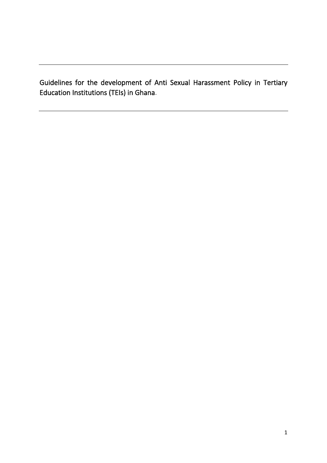Guidelines for the development of Anti Sexual Harassment Policy in Tertiary Education Institutions (TEIs) in Ghana.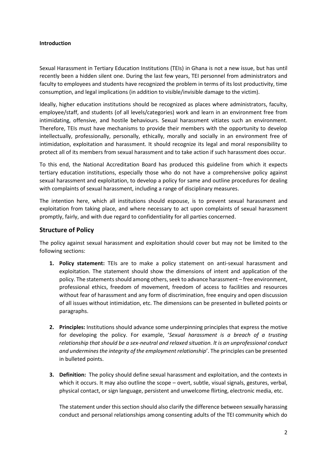## **Introduction**

Sexual Harassment in Tertiary Education Institutions (TEIs) in Ghana is not a new issue, but has until recently been a hidden silent one. During the last few years, TEI personnel from administrators and faculty to employees and students have recognized the problem in terms of its lost productivity, time consumption, and legal implications (in addition to visible/invisible damage to the victim).

Ideally, higher education institutions should be recognized as places where administrators, faculty, employee/staff, and students (of all levels/categories) work and learn in an environment free from intimidating, offensive, and hostile behaviours. Sexual harassment vitiates such an environment. Therefore, TEIs must have mechanisms to provide their members with the opportunity to develop intellectually, professionally, personally, ethically, morally and socially in an environment free of intimidation, exploitation and harassment. It should recognize its legal and moral responsibility to protect all of its members from sexual harassment and to take action if such harassment does occur.

To this end, the National Accreditation Board has produced this guideline from which it expects tertiary education institutions, especially those who do not have a comprehensive policy against sexual harassment and exploitation, to develop a policy for same and outline procedures for dealing with complaints of sexual harassment, including a range of disciplinary measures.

The intention here, which all institutions should espouse, is to prevent sexual harassment and exploitation from taking place, and where necessary to act upon complaints of sexual harassment promptly, fairly, and with due regard to confidentiality for all parties concerned.

## **Structure of Policy**

The policy against sexual harassment and exploitation should cover but may not be limited to the following sections:

- **1. Policy statement:** TEIs are to make a policy statement on anti-sexual harassment and exploitation. The statement should show the dimensions of intent and application of the policy. The statements should among others, seek to advance harassment – free environment, professional ethics, freedom of movement, freedom of access to facilities and resources without fear of harassment and any form of discrimination, free enquiry and open discussion of all issues without intimidation, etc. The dimensions can be presented in bulleted points or paragraphs.
- **2. Principles:** Institutions should advance some underpinning principles that express the motive for developing the policy. For example, '*Sexual harassment is a breach of a trusting relationship that should be a sex-neutral and relaxed situation. lt is an unprofessional conduct and undermines the integrity of the employment relationship*'. The principles can be presented in bulleted points.
- **3. Definition:** The policy should define sexual harassment and exploitation, and the contexts in which it occurs. It may also outline the scope – overt, subtle, visual signals, gestures, verbal, physical contact, or sign language, persistent and unwelcome flirting, electronic media, etc.

The statement under this section should also clarify the difference between sexually harassing conduct and personal relationships among consenting adults of the TEI community which do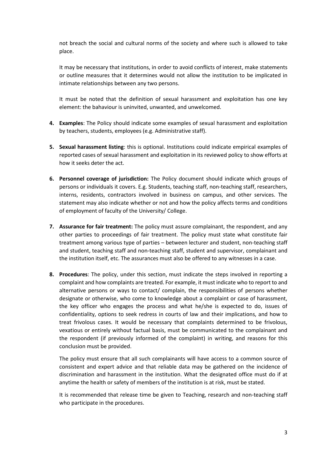not breach the social and cultural norms of the society and where such is allowed to take place.

It may be necessary that institutions, in order to avoid conflicts of interest, make statements or outline measures that it determines would not allow the institution to be implicated in intimate relationships between any two persons.

It must be noted that the definition of sexual harassment and exploitation has one key element: the bahaviour is uninvited, unwanted, and unwelcomed.

- **4. Examples**: The Policy should indicate some examples of sexual harassment and exploitation by teachers, students, employees (e.g. Administrative staff).
- **5. Sexual harassment listing**: this is optional. Institutions could indicate empirical examples of reported cases of sexual harassment and exploitation in its reviewed policy to show efforts at how it seeks deter the act.
- **6. Personnel coverage of jurisdiction:** The Policy document should indicate which groups of persons or individuals it covers. E.g. Students, teaching staff, non-teaching staff, researchers, interns, residents, contractors involved in business on campus, and other services. The statement may also indicate whether or not and how the policy affects terms and conditions of employment of faculty of the University/ College.
- **7. Assurance for fair treatment:** The policy must assure complainant, the respondent, and any other parties to proceedings of fair treatment. The policy must state what constitute fair treatment among various type of parties – between lecturer and student, non-teaching staff and student, teaching staff and non-teaching staff, student and supervisor, complainant and the institution itself, etc. The assurances must also be offered to any witnesses in a case.
- **8. Procedures**: The policy, under this section, must indicate the steps involved in reporting a complaint and how complaints are treated. For example, it must indicate who to report to and alternative persons or ways to contact/ complain, the responsibilities of persons whether designate or otherwise, who come to knowledge about a complaint or case of harassment, the key officer who engages the process and what he/she is expected to do, issues of confidentiality, options to seek redress in courts of law and their implications, and how to treat frivolous cases. It would be necessary that complaints determined to be frivolous, vexatious or entirely without factual basis, must be communicated to the complainant and the respondent (if previously informed of the complaint) in writing, and reasons for this conclusion must be provided.

The policy must ensure that all such complainants will have access to a common source of consistent and expert advice and that reliable data may be gathered on the incidence of discrimination and harassment in the institution. What the designated office must do if at anytime the health or safety of members of the institution is at risk, must be stated.

It is recommended that release time be given to Teaching, research and non-teaching staff who participate in the procedures.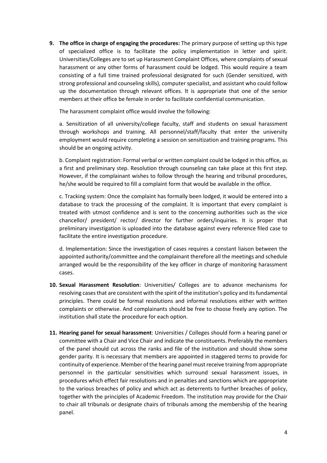**9. The office in charge of engaging the procedures:** The primary purpose of setting up this type of specialized office is to facilitate the policy implementation in letter and spirit. Universities/Colleges are to set up Harassment Complaint Offices, where complaints of sexual harassment or any other forms of harassment could be lodged. This would require a team consisting of a full time trained professional designated for such (Gender sensitized, with strong professional and counseling skills), computer specialist, and assistant who could follow up the documentation through relevant offices. lt is appropriate that one of the senior members at their office be female in order to facilitate confidential communication.

The harassment complaint office would involve the following:

a. Sensitization of all university/college faculty, staff and students on sexual harassment through workshops and training. All personnel/staff/faculty that enter the university employment would require completing a session on sensitization and training programs. This should be an ongoing activity.

b. Complaint registration: Formal verbal or written complaint could be lodged in this office, as a first and preliminary step. Resolution through counseling can take place at this first step. However, if the complainant wishes to follow through the hearing and tribunal procedures, he/she would be required to fill a complaint form that would be available in the office.

c. Tracking system: Once the complaint has formally been lodged, it would be entered into a database to track the processing of the complaint. lt is important that every complaint is treated with utmost confidence and is sent to the concerning authorities such as the vice chancellor/ president/ rector/ director for further orders/inquiries. It is proper that preliminary investigation is uploaded into the database against every reference filed case to facilitate the entire investigation procedure.

d. Implementation: Since the investigation of cases requires a constant liaison between the appointed authority/committee and the complainant therefore all the meetings and schedule arranged would be the responsibility of the key officer in charge of monitoring harassment cases.

- **10. Sexual Harassment Resolution**: Universities/ Colleges are to advance mechanisms for resolving cases that are consistent with the spirit of the institution's policy and its fundamental principles. There could be formal resolutions and informal resolutions either with written complaints or otherwise. And complainants should be free to choose freely any option. The institution shall state the procedure for each option.
- **11. Hearing panel for sexual harassment**: Universities / Colleges should form a hearing panel or committee with a Chair and Vice Chair and indicate the constituents. Preferably the members of the panel should cut across the ranks and file of the institution and should show some gender parity. It is necessary that members are appointed in staggered terms to provide for continuity of experience. Member of the hearing panel must receive training from appropriate personnel in the particular sensitivities which surround sexual harassment issues, in procedures which effect fair resolutions and in penalties and sanctions which are appropriate to the various breaches of policy and which act as deterrents to further breaches of policy, together with the principles of Academic Freedom. The institution may provide for the Chair to chair all tribunals or designate chairs of tribunals among the membership of the hearing panel.